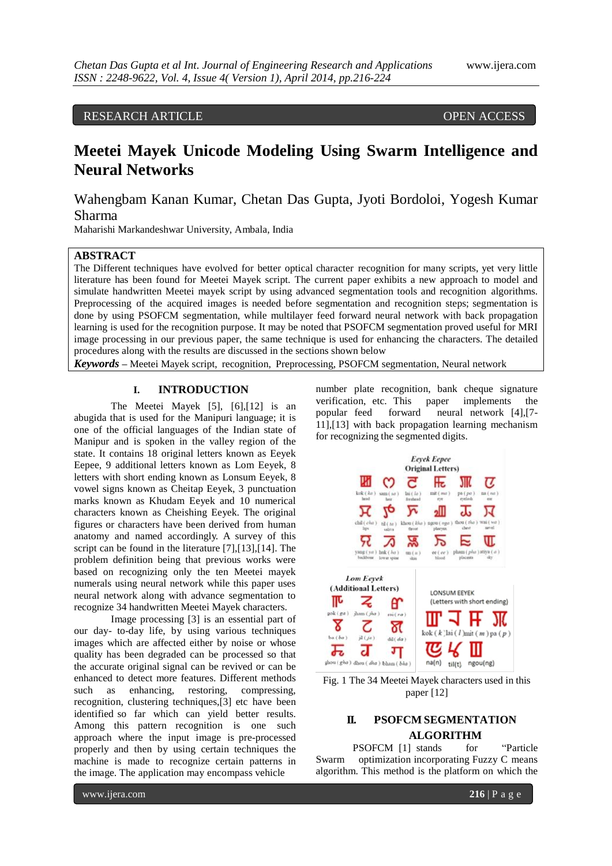#### RESEARCH ARTICLE OPEN ACCESS

# **Meetei Mayek Unicode Modeling Using Swarm Intelligence and Neural Networks**

## Wahengbam Kanan Kumar, Chetan Das Gupta, Jyoti Bordoloi, Yogesh Kumar Sharma

Maharishi Markandeshwar University, Ambala, India

#### **ABSTRACT**

The Different techniques have evolved for better optical character recognition for many scripts, yet very little literature has been found for Meetei Mayek script. The current paper exhibits a new approach to model and simulate handwritten Meetei mayek script by using advanced segmentation tools and recognition algorithms. Preprocessing of the acquired images is needed before segmentation and recognition steps; segmentation is done by using PSOFCM segmentation, while multilayer feed forward neural network with back propagation learning is used for the recognition purpose. It may be noted that PSOFCM segmentation proved useful for MRI image processing in our previous paper, the same technique is used for enhancing the characters. The detailed procedures along with the results are discussed in the sections shown below

*Keywords* **–** Meetei Mayek script, recognition, Preprocessing, PSOFCM segmentation, Neural network

#### **I. INTRODUCTION**

The Meetei Mayek [5], [6],[12] is an abugida that is used for the Manipuri language; it is one of the official languages of the Indian state of Manipur and is spoken in the valley region of the state. It contains 18 original letters known as Eeyek Eepee, 9 additional letters known as Lom Eeyek, 8 letters with short ending known as Lonsum Eeyek, 8 vowel signs known as Cheitap Eeyek, 3 punctuation marks known as Khudam Eeyek and 10 numerical characters known as Cheishing Eeyek. The original figures or characters have been derived from human anatomy and named accordingly. A survey of this script can be found in the literature [7], [13], [14]. The problem definition being that previous works were based on recognizing only the ten Meetei mayek numerals using neural network while this paper uses neural network along with advance segmentation to recognize 34 handwritten Meetei Mayek characters.

Image processing [3] is an essential part of our day- to-day life, by using various techniques images which are affected either by noise or whose quality has been degraded can be processed so that the accurate original signal can be revived or can be enhanced to detect more features. Different methods such as enhancing, restoring, compressing, recognition, clustering techniques,[3] etc have been identified so far which can yield better results. Among this pattern recognition is one such approach where the input image is pre-processed properly and then by using certain techniques the machine is made to recognize certain patterns in the image. The application may encompass vehicle

number plate recognition, bank cheque signature verification, etc. This paper implements the popular feed forward neural network [4],[7- 11],[13] with back propagation learning mechanism for recognizing the segmented digits.



Fig. 1 The 34 Meetei Mayek characters used in this paper [12]

### **II. PSOFCM SEGMENTATION ALGORITHM**

PSOFCM [1] stands for "Particle" Swarm optimization incorporating Fuzzy C means algorithm. This method is the platform on which the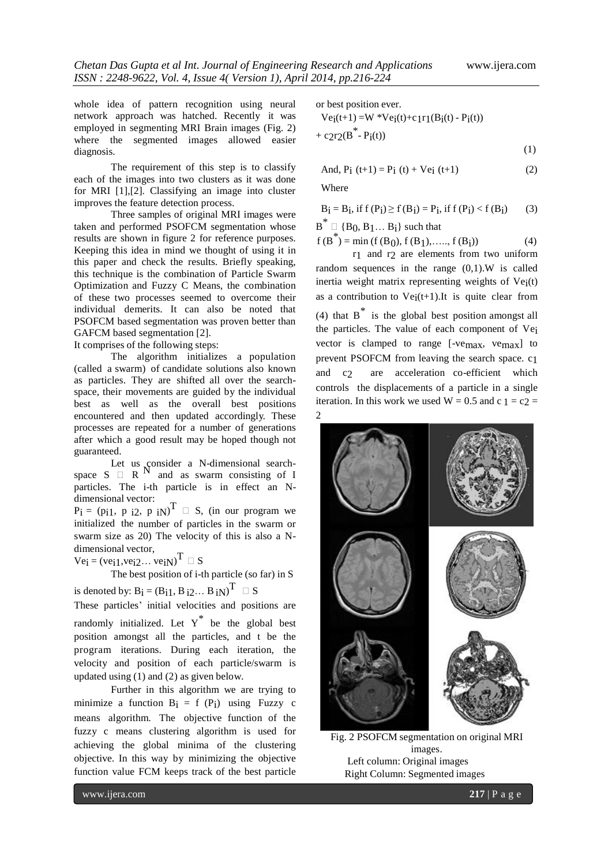whole idea of pattern recognition using neural network approach was hatched. Recently it was employed in segmenting MRI Brain images (Fig. 2) where the segmented images allowed easier diagnosis.

The requirement of this step is to classify each of the images into two clusters as it was done for MRI [1],[2]. Classifying an image into cluster improves the feature detection process.

Three samples of original MRI images were taken and performed PSOFCM segmentation whose results are shown in figure 2 for reference purposes. Keeping this idea in mind we thought of using it in this paper and check the results. Briefly speaking, this technique is the combination of Particle Swarm Optimization and Fuzzy C Means, the combination of these two processes seemed to overcome their individual demerits. It can also be noted that PSOFCM based segmentation was proven better than GAFCM based segmentation [2].

It comprises of the following steps:

The algorithm initializes a population (called a swarm) of candidate solutions also known as particles. They are shifted all over the searchspace, their movements are guided by the individual best as well as the overall best positions encountered and then updated accordingly. These processes are repeated for a number of generations after which a good result may be hoped though not guaranteed.

Let us consider a N-dimensional searchspace  $S \square R$ <sup>N</sup> and as swarm consisting of I particles. The i-th particle is in effect an Ndimensional vector:

 $P_i = (pi1, p_i2, p_iN)^T \square S$ , (in our program we initialized the number of particles in the swarm or swarm size as 20) The velocity of this is also a Ndimensional vector,

 $Ve_i = (ve_i1, ve_i2...ve_iN)^T \square S$ 

The best position of i-th particle (so far) in S

is denoted by:  $B_i = (B_{i1}, B_{i2}... B_{iN})^T \square S$ 

These particles' initial velocities and positions are randomly initialized. Let  $Y^*$  be the global best position amongst all the particles, and t be the program iterations. During each iteration, the velocity and position of each particle/swarm is updated using (1) and (2) as given below.

Further in this algorithm we are trying to minimize a function  $B_i = f(P_i)$  using Fuzzy c means algorithm. The objective function of the fuzzy c means clustering algorithm is used for achieving the global minima of the clustering objective. In this way by minimizing the objective function value FCM keeps track of the best particle or best position ever.

 $Vei(t+1) = W *Vei(t) + c1r1(Bi(t) - Pi(t))$ +  $c2r2(B^* - P_i(t))$ 

$$
(1)
$$

And, 
$$
P_i(t+1) = P_i(t) + Ve_i(t+1)
$$
 (2)

Where

 $B_i = B_i$ , if  $f(P_i) \ge f(B_i) = P_i$ , if  $f(P_i) < f(B_i)$  (3)

 $\overline{B}^* \square \{B_0, B_1 \dots B_i\}$  such that

$$
f(B^*) = min(f(B_0), f(B_1), \dots, f(B_i))
$$
 (4)

r1 and r2 are elements from two uniform random sequences in the range  $(0,1)$ . W is called inertia weight matrix representing weights of  $Vei(t)$ as a contribution to  $Vei(t+1)$ . It is quite clear from (4) that  $B^*$  is the global best position amongst all the particles. The value of each component of Vei vector is clamped to range [-vemax, vemax] to prevent PSOFCM from leaving the search space. c1 and c2 are acceleration co-efficient which controls the displacements of a particle in a single iteration. In this work we used  $W = 0.5$  and  $c_1 = c_2$ 2



Fig. 2 PSOFCM segmentation on original MRI images. Left column: Original images Right Column: Segmented images

www.ijera.com **217** | P a g e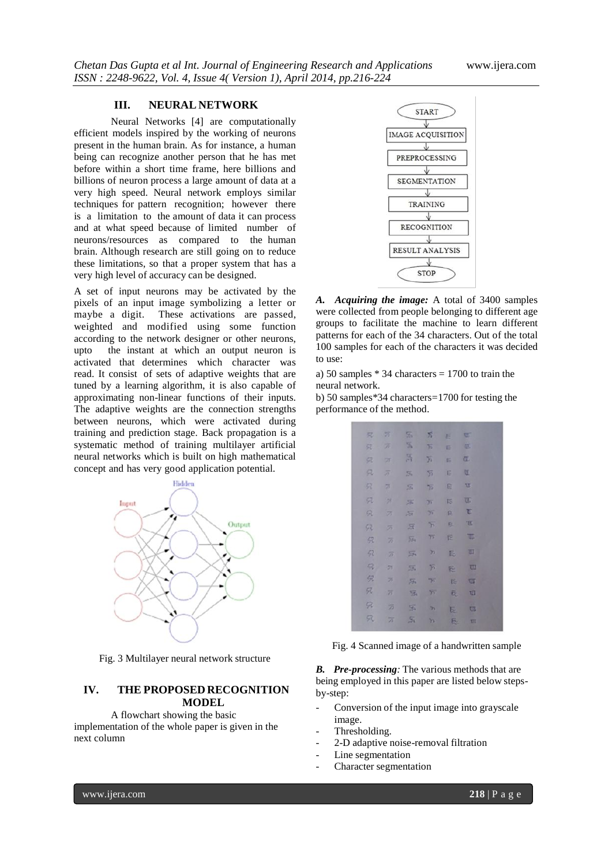#### **III. NEURAL NETWORK**

Neural Networks [4] are computationally efficient models inspired by the working of neurons present in the human brain. As for instance, a human being can recognize another person that he has met before within a short time frame, here billions and billions of neuron process a large amount of data at a very high speed. Neural network employs similar techniques for pattern recognition; however there is a limitation to the amount of data it can process and at what speed because of limited number of neurons/resources as compared to the human brain. Although research are still going on to reduce these limitations, so that a proper system that has a very high level of accuracy can be designed.

A set of input neurons may be activated by the pixels of an input image symbolizing a letter or maybe a digit. These activations are passed, weighted and modified using some function according to the network designer or other neurons, upto the instant at which an output neuron is activated that determines which character was read. It consist of sets of adaptive weights that are tuned by a learning algorithm, it is also capable of approximating non-linear functions of their inputs. The adaptive weights are the connection strengths between neurons, which were activated during training and prediction stage. Back propagation is a systematic method of training multilayer artificial neural networks which is built on high mathematical concept and has very good application potential.



Fig. 3 Multilayer neural network structure

#### **IV. THE PROPOSED RECOGNITION MODEL**

A flowchart showing the basic implementation of the whole paper is given in the next column



*A. Acquiring the image:* A total of 3400 samples were collected from people belonging to different age groups to facilitate the machine to learn different patterns for each of the 34 characters. Out of the total 100 samples for each of the characters it was decided to use:

a) 50 samples \* 34 characters = 1700 to train the neural network.

b) 50 samples\*34 characters=1700 for testing the performance of the method.

|    | 见 万                   | $\mathbb{Z}$              | $\mathcal{E}$               | E   | œ              |  |
|----|-----------------------|---------------------------|-----------------------------|-----|----------------|--|
| 兄  | $\mathcal{D}$         | $\mathbb{X}$              | $\overline{b}$              | 巨   | œ.             |  |
| 农  | 75.                   | 昌                         | 页                           | Б   | $\overline{a}$ |  |
| 凤  | $\overline{\partial}$ | 56                        | $\overline{5}$              | G   | U.             |  |
| 52 | 岗                     | $\overline{\mathcal{L}}$  | $\overline{\mathcal{D}}$    | 卮   | 耳              |  |
| Ø. | ы                     | 55                        | $\overline{\mathcal{M}}$    | is. | Œ.             |  |
| 泉  | z                     | $\overline{\mathbb{R}}$   | $\mathcal{H}$               | ß.  | 百              |  |
| 92 | 厉                     | 反                         | $\overline{\pi}$            | e.  | $\mathbb{E}$   |  |
| 52 | 厉                     | $\overline{3}$            | 75                          | 臣   | 耳              |  |
| 52 | $\overline{B}$        | $\Xi$                     | m                           | F.  | Ш              |  |
| R  | 55                    | $\overline{\mathfrak{A}}$ | 方                           | 巼   | <b>TII</b>     |  |
| 倪  | z                     | 乐                         | $\mathcal{P}^{\mathcal{C}}$ | 阣   | ख              |  |
| 只  | 万                     | 巫                         | 35                          | 辰   | TII            |  |
| 52 | 笋                     | S.                        | $\overline{\mathbf{r}}$     | E.  | <b>UI</b>      |  |
| 52 | $\overline{h}$        | $S_1$                     | Ys.                         | 辰   | <b>TII</b>     |  |

Fig. 4 Scanned image of a handwritten sample

*B. Pre-processing:* The various methods that are being employed in this paper are listed below stepsby-step:

- Conversion of the input image into grayscale image.
- Thresholding.
- 2-D adaptive noise-removal filtration
- Line segmentation
- Character segmentation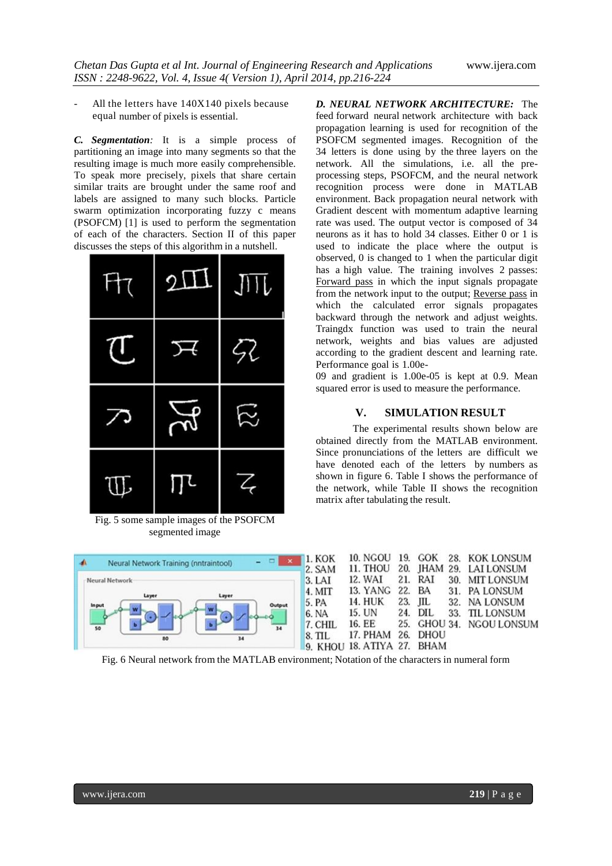All the letters have  $140X140$  pixels because equal number of pixels is essential.

*C. Segmentation:* It is a simple process of partitioning an image into many segments so that the resulting image is much more easily comprehensible. To speak more precisely, pixels that share certain similar traits are brought under the same roof and labels are assigned to many such blocks. Particle swarm optimization incorporating fuzzy c means (PSOFCM) [1] is used to perform the segmentation of each of the characters. Section II of this paper discusses the steps of this algorithm in a nutshell.

| Ħτ           | $2\pi$          | $J\mathsf{H}$ |
|--------------|-----------------|---------------|
| U            | ↣               | 52            |
| ╱            | $\cancel{\sim}$ | ダ             |
| $\mathbb{U}$ |                 | $\,$ $\,$     |

Fig. 5 some sample images of the PSOFCM segmented image

*D. NEURAL NETWORK ARCHITECTURE:* The feed forward neural network architecture with back propagation learning is used for recognition of the PSOFCM segmented images. Recognition of the 34 letters is done using by the three layers on the network. All the simulations, i.e. all the preprocessing steps, PSOFCM, and the neural network recognition process were done in MATLAB environment. Back propagation neural network with Gradient descent with momentum adaptive learning rate was used. The output vector is composed of 34 neurons as it has to hold 34 classes. Either 0 or 1 is used to indicate the place where the output is observed, 0 is changed to 1 when the particular digit has a high value. The training involves 2 passes: Forward pass in which the input signals propagate from the network input to the output; Reverse pass in which the calculated error signals propagates backward through the network and adjust weights. Traingdx function was used to train the neural network, weights and bias values are adjusted according to the gradient descent and learning rate. Performance goal is 1.00e-

09 and gradient is 1.00e-05 is kept at 0.9. Mean squared error is used to measure the performance.

#### **V. SIMULATION RESULT**

The experimental results shown below are obtained directly from the MATLAB environment. Since pronunciations of the letters are difficult we have denoted each of the letters by numbers as shown in figure 6. Table I shows the performance of the network, while Table II shows the recognition matrix after tabulating the result.



Fig. 6 Neural network from the MATLAB environment; Notation of the characters in numeral form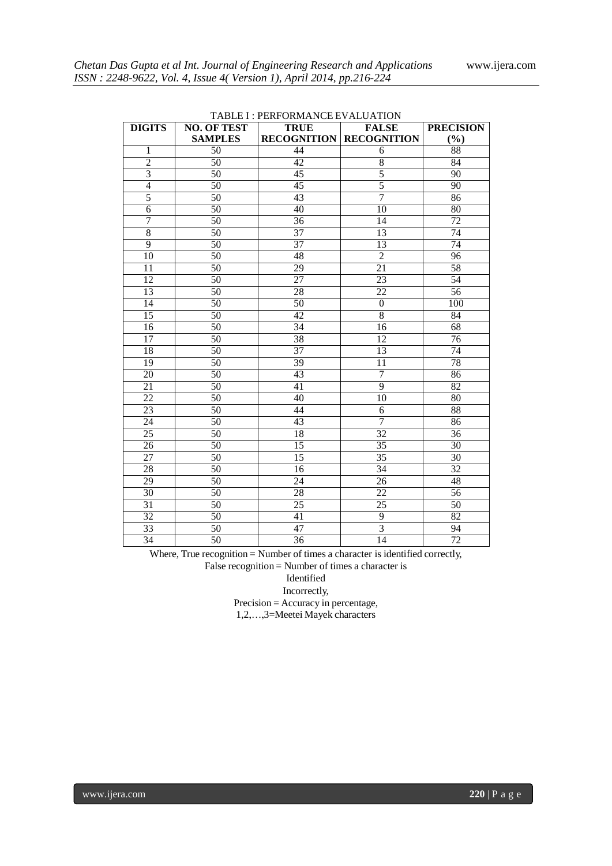| <b>DIGITS</b>   | <b>NO. OF TEST</b> | <b>TRUE</b>     | <b>FALSE</b>                   | <b>PRECISION</b> |  |  |  |  |  |
|-----------------|--------------------|-----------------|--------------------------------|------------------|--|--|--|--|--|
|                 | <b>SAMPLES</b>     |                 | <b>RECOGNITION RECOGNITION</b> | (%)              |  |  |  |  |  |
| 1               | 50                 | 44              | 6                              | 88               |  |  |  |  |  |
| $\overline{2}$  | 50                 | 42              | $\,8\,$                        | 84               |  |  |  |  |  |
| $\overline{3}$  | $\overline{50}$    | $\overline{45}$ | $\overline{5}$                 | $\overline{90}$  |  |  |  |  |  |
| $\overline{4}$  | 50                 | 45              | $\overline{5}$                 | 90               |  |  |  |  |  |
| $\overline{5}$  | $\overline{50}$    | $\overline{43}$ | $\overline{7}$                 | $\overline{86}$  |  |  |  |  |  |
| 6               | 50                 | 40              | 10                             | 80               |  |  |  |  |  |
| $\overline{7}$  | 50                 | $\overline{36}$ | 14                             | 72               |  |  |  |  |  |
| 8               | 50                 | 37              | 13                             | 74               |  |  |  |  |  |
| $\overline{9}$  | 50                 | $\overline{37}$ | 13                             | $\overline{74}$  |  |  |  |  |  |
| $\overline{10}$ | 50                 | $\overline{48}$ | $\overline{2}$                 | $\overline{96}$  |  |  |  |  |  |
| 11              | 50                 | 29              | 21                             | $\overline{58}$  |  |  |  |  |  |
| 12              | 50                 | $\overline{27}$ | 23                             | $\overline{54}$  |  |  |  |  |  |
| 13              | 50                 | 28              | 22                             | 56               |  |  |  |  |  |
| $\overline{14}$ | $\overline{50}$    | 50              | $\boldsymbol{0}$               | $\overline{100}$ |  |  |  |  |  |
| 15              | 50                 | 42              | 8                              | 84               |  |  |  |  |  |
| 16              | 50                 | 34              | 16                             | 68               |  |  |  |  |  |
| 17              | 50                 | 38              | 12                             | 76               |  |  |  |  |  |
| 18              | 50                 | 37              | 13                             | 74               |  |  |  |  |  |
| 19              | $\overline{50}$    | $\overline{39}$ | 11                             | $\overline{78}$  |  |  |  |  |  |
| 20              | $\overline{50}$    | 43              | $\overline{7}$                 | 86               |  |  |  |  |  |
| 21              | 50                 | 41              | $\overline{9}$                 | $\overline{82}$  |  |  |  |  |  |
| $\overline{22}$ | 50                 | 40              | 10                             | 80               |  |  |  |  |  |
| $\overline{23}$ | $\overline{50}$    | 44              | 6                              | 88               |  |  |  |  |  |
| 24              | 50                 | 43              | $\overline{7}$                 | $\overline{86}$  |  |  |  |  |  |
| 25              | $\overline{50}$    | 18              | $\overline{32}$                | 36               |  |  |  |  |  |
| 26              | 50                 | 15              | 35                             | 30               |  |  |  |  |  |
| 27              | 50                 | $\overline{15}$ | 35                             | $\overline{30}$  |  |  |  |  |  |
| 28              | 50                 | 16              | 34                             | 32               |  |  |  |  |  |
| $\overline{29}$ | 50                 | 24              | 26                             | 48               |  |  |  |  |  |
| 30              | 50                 | 28              | 22                             | 56               |  |  |  |  |  |
| 31              | 50                 | 25              | 25                             | 50               |  |  |  |  |  |
| 32              | 50                 | 41              | 9                              | $\overline{82}$  |  |  |  |  |  |
| 33              | 50                 | 47              | $\overline{3}$                 | $\overline{94}$  |  |  |  |  |  |
| 34              | 50                 | 36              | 14                             | $\overline{72}$  |  |  |  |  |  |

TABLE I : PERFORMANCE EVALUATION

Where, True recognition = Number of times a character is identified correctly,

False recognition = Number of times a character is

Identified

Incorrectly,

Precision = Accuracy in percentage,

1,2,…,3=Meetei Mayek characters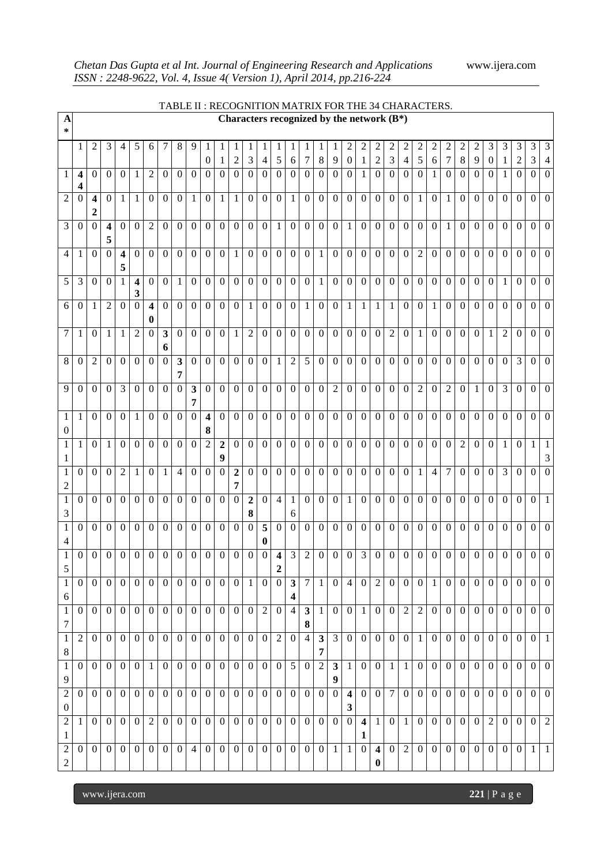|                                      |                              |                                             |                              |                         |                         |                            |                   |                         | TABLE II: RECOGNITION MATRIX FOR THE 34 CHARACTERS. |                              |                     |                                  |                     |                     |                         |                     |                     |                  |                   |                                              |                                |                              |                              |                                  |                     |                     |                     |                  |                     |                       |                  |                     |                  |                                  |
|--------------------------------------|------------------------------|---------------------------------------------|------------------------------|-------------------------|-------------------------|----------------------------|-------------------|-------------------------|-----------------------------------------------------|------------------------------|---------------------|----------------------------------|---------------------|---------------------|-------------------------|---------------------|---------------------|------------------|-------------------|----------------------------------------------|--------------------------------|------------------------------|------------------------------|----------------------------------|---------------------|---------------------|---------------------|------------------|---------------------|-----------------------|------------------|---------------------|------------------|----------------------------------|
| $\boldsymbol{\mathsf{A}}$<br>*       |                              |                                             |                              |                         |                         |                            |                   |                         |                                                     |                              |                     |                                  |                     |                     |                         |                     |                     |                  |                   | Characters recognized by the network $(B^*)$ |                                |                              |                              |                                  |                     |                     |                     |                  |                     |                       |                  |                     |                  |                                  |
|                                      | 1                            | $\overline{2}$                              | 3                            | 4                       | $5\overline{)}$         | 6                          | 7                 | $\,8\,$                 | 9                                                   | -1<br>$\boldsymbol{0}$       | -1                  | 1<br>$\overline{c}$              | 1<br>3              | 1<br>$\overline{4}$ | 1<br>5                  | 1<br>6              | 1<br>7              | 8                | 9                 | 2<br>$\boldsymbol{0}$                        | $\overline{2}$<br>$\mathbf{1}$ | $\overline{2}$<br>$\sqrt{2}$ | $\sqrt{2}$<br>$\mathfrak{Z}$ | $\overline{c}$<br>$\overline{4}$ | $\overline{c}$<br>5 | $\overline{2}$<br>6 | $\overline{c}$<br>7 | 2<br>$\,8\,$     | $\overline{c}$<br>9 | 3<br>$\boldsymbol{0}$ | 3<br>1           | 3<br>$\overline{c}$ | 3<br>3           | $\mathfrak{Z}$<br>$\overline{4}$ |
| 1                                    | $\overline{\mathbf{4}}$<br>4 | $\theta$                                    | $\overline{0}$               | $\mathbf{0}$            | 1                       | $\overline{2}$             | $\mathbf{0}$      | $\mathbf{0}$            | $\overline{0}$                                      | $\overline{0}$               | $\theta$            | $\mathbf{0}$                     | $\overline{0}$      | $\boldsymbol{0}$    | $\overline{0}$          | $\theta$            | $\overline{0}$      | $\overline{0}$   | $\mathbf{0}$      | $\boldsymbol{0}$                             | $\mathbf{1}$                   | $\mathbf{0}$                 | $\mathbf{0}$                 | $\Omega$                         | $\Omega$            | -1                  | $\mathbf{0}$        | $\Omega$         | $\overline{0}$      | $\overline{0}$        | 1                | $\theta$            | $\Omega$         | $\mathbf{0}$                     |
| $\overline{2}$                       | $\theta$                     | $\overline{\mathbf{4}}$<br>$\boldsymbol{2}$ | $\overline{0}$               | $\mathbf{1}$            | 1                       | $\overline{0}$             | $\mathbf{0}$      | $\mathbf{0}$            | $\mathbf{1}$                                        | $\boldsymbol{0}$             | $\mathbf{1}$        | $\mathbf{1}$                     | $\overline{0}$      | $\overline{0}$      | $\overline{0}$          | $\mathbf{1}$        | $\mathbf{0}$        | $\mathbf{0}$     | $\mathbf{0}$      | $\overline{0}$                               | $\overline{0}$                 | $\mathbf{0}$                 | $\mathbf{0}$                 | $\mathbf{0}$                     | $\mathbf{1}$        | $\overline{0}$      | $\mathbf{1}$        | $\overline{0}$   | $\overline{0}$      | $\overline{0}$        | $\mathbf{0}$     | $\overline{0}$      | $\overline{0}$   | $\mathbf{0}$                     |
| 3                                    | $\mathbf{0}$                 | $\overline{0}$                              | $\overline{\mathbf{4}}$<br>5 | $\Omega$                | $\overline{0}$          | $\overline{2}$             | $\boldsymbol{0}$  | $\mathbf{0}$            | $\overline{0}$                                      | $\mathbf{0}$                 | $\mathbf{0}$        | $\overline{0}$                   | $\overline{0}$      | $\overline{0}$      | $\mathbf{1}$            | $\boldsymbol{0}$    | $\boldsymbol{0}$    | $\mathbf{0}$     | $\boldsymbol{0}$  | 1                                            | $\overline{0}$                 | $\mathbf{0}$                 | $\mathbf{0}$                 | $\boldsymbol{0}$                 | $\mathbf{0}$        | $\boldsymbol{0}$    | $\mathbf{1}$        | $\boldsymbol{0}$ | $\overline{0}$      | $\overline{0}$        | $\mathbf{0}$     | $\boldsymbol{0}$    | $\overline{0}$   | $\mathbf{0}$                     |
| 4                                    | 1                            | $\overline{0}$                              | $\overline{0}$               | $\overline{\mathbf{4}}$ | $\overline{0}$          | $\overline{0}$             | $\overline{0}$    | $\mathbf{0}$            | $\mathbf{0}$                                        | $\overline{0}$               | $\overline{0}$      | $\mathbf{1}$                     | $\overline{0}$      | $\overline{0}$      | $\overline{0}$          | $\mathbf{0}$        | $\overline{0}$      | 1                | $\overline{0}$    | $\overline{0}$                               | $\overline{0}$                 | $\overline{0}$               | $\mathbf{0}$                 | $\overline{0}$                   | $\overline{2}$      | $\overline{0}$      | $\mathbf{0}$        | $\overline{0}$   | $\overline{0}$      | $\overline{0}$        | $\overline{0}$   | $\overline{0}$      | $\overline{0}$   | $\mathbf{0}$                     |
| 5                                    | 3                            | $\boldsymbol{0}$                            | $\boldsymbol{0}$             | 5<br>1                  | $\overline{\mathbf{4}}$ | $\overline{0}$             | $\Omega$          | 1                       | $\mathbf{0}$                                        | $\overline{0}$               | $\mathbf{0}$        | $\mathbf{0}$                     | $\overline{0}$      | $\overline{0}$      | $\boldsymbol{0}$        | $\boldsymbol{0}$    | $\boldsymbol{0}$    | $\mathbf{1}$     | $\mathbf{0}$      | $\Omega$                                     | $\overline{0}$                 | $\mathbf{0}$                 | $\boldsymbol{0}$             | $\overline{0}$                   | $\overline{0}$      | $\mathbf{0}$        | $\mathbf{0}$        | $\overline{0}$   | $\overline{0}$      | $\mathbf{0}$          | $\mathbf{1}$     | $\overline{0}$      | $\overline{0}$   | $\mathbf{0}$                     |
| 6                                    | $\mathbf{0}$                 | $\mathbf{1}$                                | $\overline{2}$               | $\boldsymbol{0}$        | 3<br>$\overline{0}$     | $\overline{\mathbf{4}}$    | $\overline{0}$    | $\mathbf{0}$            | $\overline{0}$                                      | $\overline{0}$               | $\overline{0}$      | $\mathbf{0}$                     | $\mathbf{1}$        | $\overline{0}$      | $\mathbf{0}$            | $\boldsymbol{0}$    | $\mathbf{1}$        | $\boldsymbol{0}$ | $\boldsymbol{0}$  | $\mathbf{1}$                                 | $\mathbf{1}$                   | $\mathbf{1}$                 | $\mathbf{1}$                 | $\boldsymbol{0}$                 | $\overline{0}$      | $\mathbf{1}$        | $\mathbf{0}$        | $\mathbf{0}$     | $\overline{0}$      | $\overline{0}$        | $\mathbf{0}$     | $\overline{0}$      | $\overline{0}$   | $\overline{0}$                   |
| $\overline{7}$                       | $\mathbf{1}$                 | $\boldsymbol{0}$                            | $\mathbf{1}$                 | $\mathbf{1}$            | $\overline{2}$          | $\bf{0}$<br>$\overline{0}$ | $\mathbf{3}$      | $\mathbf{0}$            | $\mathbf{0}$                                        | $\overline{0}$               | $\overline{0}$      | $\mathbf{1}$                     | $\overline{2}$      | $\overline{0}$      | $\overline{0}$          | $\boldsymbol{0}$    | $\mathbf{0}$        | $\overline{0}$   | $\mathbf{0}$      | $\overline{0}$                               | $\overline{0}$                 | $\overline{0}$               | $\overline{2}$               | $\boldsymbol{0}$                 | $\mathbf{1}$        | $\overline{0}$      | $\mathbf{0}$        | $\mathbf{0}$     | $\overline{0}$      | $\mathbf{1}$          | $\overline{2}$   | $\overline{0}$      | $\theta$         | $\overline{0}$                   |
| 8                                    | $\mathbf{0}$                 | $\overline{2}$                              | $\boldsymbol{0}$             | $\Omega$                | $\overline{0}$          | $\overline{0}$             | 6<br>$\mathbf{0}$ | $\overline{\mathbf{3}}$ | $\overline{0}$                                      | $\overline{0}$               | $\overline{0}$      | $\overline{0}$                   | $\overline{0}$      | $\mathbf{0}$        | $\mathbf{1}$            | $\overline{2}$      | $\overline{5}$      | $\boldsymbol{0}$ | $\boldsymbol{0}$  | $\overline{0}$                               | $\overline{0}$                 | $\mathbf{0}$                 | $\mathbf{0}$                 | $\boldsymbol{0}$                 | $\overline{0}$      | $\mathbf{0}$        | $\mathbf{0}$        | $\boldsymbol{0}$ | $\mathbf{0}$        | $\overline{0}$        | $\mathbf{0}$     | 3                   | $\overline{0}$   | $\mathbf{0}$                     |
| 9                                    | $\mathbf{0}$                 | $\mathbf{0}$                                | $\overline{0}$               | $\overline{3}$          | $\overline{0}$          | $\mathbf{0}$               | $\boldsymbol{0}$  | 7<br>$\overline{0}$     | $\mathbf{3}$                                        | $\mathbf{0}$                 | $\mathbf{0}$        | $\overline{0}$                   | $\overline{0}$      | $\overline{0}$      | $\overline{0}$          | $\boldsymbol{0}$    | $\overline{0}$      | $\overline{0}$   | $\overline{2}$    | $\overline{0}$                               | $\overline{0}$                 | $\overline{0}$               | $\mathbf{0}$                 | $\overline{0}$                   | $\overline{2}$      | $\overline{0}$      | $\overline{2}$      | $\boldsymbol{0}$ | $\mathbf{1}$        | $\overline{0}$        | $\overline{3}$   | $\overline{0}$      | $\overline{0}$   | $\overline{0}$                   |
|                                      |                              |                                             |                              |                         |                         |                            |                   |                         | 7                                                   |                              |                     |                                  |                     |                     |                         |                     |                     |                  |                   |                                              |                                |                              |                              |                                  |                     |                     |                     |                  |                     |                       |                  |                     |                  |                                  |
| 1<br>$\boldsymbol{0}$                | $\mathbf{1}$                 | $\mathbf{0}$                                | $\boldsymbol{0}$             | $\overline{0}$          | 1                       | $\overline{0}$             | $\mathbf{0}$      | $\mathbf{0}$            | $\overline{0}$                                      | $\overline{\mathbf{4}}$<br>8 | $\overline{0}$      | $\overline{0}$                   | $\overline{0}$      | $\overline{0}$      | $\mathbf{0}$            | $\boldsymbol{0}$    | $\overline{0}$      | $\boldsymbol{0}$ | $\mathbf{0}$      | $\overline{0}$                               | $\overline{0}$                 | $\mathbf{0}$                 | $\mathbf{0}$                 | $\overline{0}$                   | $\overline{0}$      | $\overline{0}$      | $\overline{0}$      | $\mathbf{0}$     | $\overline{0}$      | $\overline{0}$        | $\boldsymbol{0}$ | $\overline{0}$      | $\overline{0}$   | $\overline{0}$                   |
| $\mathbf{1}$<br>1                    | $\mathbf{1}$                 | $\mathbf{0}$                                | 1                            | $\mathbf{0}$            | $\overline{0}$          | $\overline{0}$             | $\boldsymbol{0}$  | $\mathbf{0}$            | $\mathbf{0}$                                        | $\overline{2}$               | $\overline{2}$<br>9 | $\overline{0}$                   | $\overline{0}$      | $\overline{0}$      | $\overline{0}$          | $\boldsymbol{0}$    | $\mathbf{0}$        | $\mathbf{0}$     | $\mathbf{0}$      | $\vert 0 \vert$                              | $\overline{0}$                 | $\overline{0}$               | $\mathbf{0}$                 | $\boldsymbol{0}$                 | $\overline{0}$      | $\overline{0}$      | $\mathbf{0}$        | $\overline{2}$   | $\overline{0}$      | $\overline{0}$        | $\mathbf{1}$     | $\overline{0}$      | $\mathbf{1}$     | $\overline{1}$<br>3              |
| $\mathbf{1}$<br>2                    | $\mathbf{0}$                 | $\mathbf{0}$                                | $\overline{0}$               | $\overline{2}$          | $\mathbf{1}$            | $\mathbf{0}$               | 1                 | $\overline{4}$          | $\mathbf{0}$                                        | $\Omega$                     | $\overline{0}$      | $\overline{2}$<br>$\overline{7}$ | $\overline{0}$      | $\overline{0}$      | $\mathbf{0}$            | $\boldsymbol{0}$    | $\mathbf{0}$        | $\mathbf{0}$     | $\mathbf{0}$      | $\overline{0}$                               | $\overline{0}$                 | $\mathbf{0}$                 | $\mathbf{0}$                 | $\boldsymbol{0}$                 | $\mathbf{1}$        | $\overline{4}$      | $\overline{7}$      | $\boldsymbol{0}$ | $\mathbf{0}$        | $\overline{0}$        | $\overline{3}$   | $\mathbf{0}$        | $\theta$         | $\overline{0}$                   |
| $\,1\,$<br>3                         | $\boldsymbol{0}$             | $\boldsymbol{0}$                            | $\boldsymbol{0}$             | $\boldsymbol{0}$        | $\overline{0}$          | $\mathbf{0}$               | $\mathbf{0}$      | $\boldsymbol{0}$        | $\mathbf{0}$                                        | $\mathbf{0}$                 | $\overline{0}$      | $\overline{0}$                   | $\overline{2}$<br>8 | $\boldsymbol{0}$    | $\overline{4}$          | $\mathbf{1}$<br>6   | $\overline{0}$      | $\boldsymbol{0}$ | $\overline{0}$    | $\mathbf{1}$                                 | $\overline{0}$                 | $\mathbf{0}$                 | $\mathbf{0}$                 | $\boldsymbol{0}$                 | $\overline{0}$      | $\overline{0}$      | $\overline{0}$      | $\overline{0}$   | $\overline{0}$      | $\overline{0}$        | $\overline{0}$   | $\overline{0}$      | $\overline{0}$   | $\overline{1}$                   |
| $\mathbf{1}$                         | $\boldsymbol{0}$             | $\mathbf{0}$                                | $\overline{0}$               | $\mathbf{0}$            | $\overline{0}$          | $\mathbf{0}$               | $\overline{0}$    | $\mathbf{0}$            | $\mathbf{0}$                                        | $\overline{0}$               | $\boldsymbol{0}$    | $\mathbf{0}$                     | $\boldsymbol{0}$    | 5<br>0              | $\boldsymbol{0}$        | $\boldsymbol{0}$    | $\boldsymbol{0}$    | $\boldsymbol{0}$ | $\overline{0}$    | $\overline{0}$                               | $\overline{0}$                 | $\mathbf{0}$                 | $\mathbf{0}$                 | $\mathbf{0}$                     | $\overline{0}$      | $\mathbf{0}$        | $\mathbf{0}$        | $\mathbf{0}$     | $\mathbf{0}$        | $\overline{0}$        | $\mathbf{0}$     | $\overline{0}$      | $\overline{0}$   | $\mathbf{0}$                     |
| 4<br>$\mathbf{1}$                    | $\boldsymbol{0}$             | $\boldsymbol{0}$                            | $\boldsymbol{0}$             | $\boldsymbol{0}$        | $\overline{0}$          | $\mathbf{0}$               | $\boldsymbol{0}$  | $\boldsymbol{0}$        | $\boldsymbol{0}$                                    | $\boldsymbol{0}$             | $\boldsymbol{0}$    | $\boldsymbol{0}$                 | $\boldsymbol{0}$    | $\boldsymbol{0}$    | $\overline{\mathbf{4}}$ | 3                   | $\overline{c}$      | $\boldsymbol{0}$ | $\boldsymbol{0}$  | $\overline{0}$                               | $\mathfrak{Z}$                 | $\boldsymbol{0}$             | $\boldsymbol{0}$             | $\boldsymbol{0}$                 | $\boldsymbol{0}$    | $\boldsymbol{0}$    | $\boldsymbol{0}$    | $\boldsymbol{0}$ | $\mathbf{0}$        | $\boldsymbol{0}$      | $\mathbf{0}$     | $\mathbf{0}$        | $\boldsymbol{0}$ | $\mathbf{0}$                     |
| 5<br>$\mathbf{1}$                    | $\Omega$                     | $\Omega$                                    | $\Omega$                     | $\theta$                | $\Omega$                | $\Omega$                   | $\Omega$          | $\Omega$                | $\Omega$                                            | $\theta$                     | $\Omega$            | $\overline{0}$                   | $\mathbf{1}$        | $\overline{0}$      | 2<br>$\overline{0}$     | $\mathbf{3}$        | $\tau$              | -1               | $\overline{0}$    | $\vert$ 4                                    | $\overline{0}$                 | 2                            | $\overline{0}$               | $\Omega$                         | $\overline{0}$      | $\mathbf{1}$        | $\Omega$            | $\Omega$         | $\Omega$            | $\Omega$              | $\Omega$         | $\Omega$            | ()               | $\theta$                         |
| 6<br>$\mathbf{1}$                    | $\overline{0}$               | $\Omega$                                    | $\Omega$                     | $\Omega$                | $\Omega$                | $\overline{0}$             | $\overline{0}$    | $\overline{0}$          | $\overline{0}$                                      | $\theta$                     | $\theta$            | $\overline{0}$                   | $\overline{0}$      | 2                   | $\overline{0}$          | 4<br>$\overline{4}$ | $\mathbf{3}$        | -1               | $\overline{0}$    | $\overline{0}$                               | $\vert$ 1                      | $\overline{0}$               | $\overline{0}$               | $\overline{2}$                   | 2                   | $\theta$            | $\overline{0}$      | $\overline{0}$   | $\overline{0}$      | $\overline{0}$        | $\overline{0}$   | $\theta$            |                  | $01$ 0                           |
| 7<br>$1\,$                           | $\mathfrak{2}$               | $\boldsymbol{0}$                            | $\overline{0}$               | $\Omega$                | $\overline{0}$          | $\overline{0}$             | $\overline{0}$    | $\overline{0}$          | $\overline{0}$                                      | $\overline{0}$               | $\overline{0}$      | $\overline{0}$                   | $\overline{0}$      | $\overline{0}$      | $\overline{2}$          | $\boldsymbol{0}$    | 8<br>$\overline{4}$ | $\mathbf{3}$     | 3                 | $\overline{0}$                               | $\overline{0}$                 | $\overline{0}$               | $\overline{0}$               | $\overline{0}$                   | $\mathbf{1}$        | $\overline{0}$      | $\overline{0}$      | $\overline{0}$   | $\overline{0}$      | $\overline{0}$        | $\overline{0}$   | $\mathbf{0}$        |                  | $0 \mid 1$                       |
| 8                                    |                              |                                             |                              |                         |                         |                            |                   |                         |                                                     |                              |                     |                                  |                     |                     |                         |                     |                     | 7                |                   |                                              |                                |                              |                              |                                  |                     |                     |                     |                  |                     |                       |                  |                     |                  | $\overline{0}$                   |
| $\mathbf{1}$<br>9                    | $\Omega$                     | $\overline{0}$                              | $\theta$                     | $\Omega$                | $\Omega$                | $\mathbf{1}$               | $\overline{0}$    | $\overline{0}$          | $\overline{0}$                                      | $\overline{0}$               | $\overline{0}$      | $\overline{0}$                   | $\overline{0}$      | $\overline{0}$      | $\overline{0}$          | 5                   | $\boldsymbol{0}$    | $\overline{2}$   | $\mathbf{3}$<br>9 | $\mathbf{1}$                                 | $\overline{0}$                 | $\overline{0}$               | 1                            | $\mathbf{1}$                     | $\overline{0}$      | $\overline{0}$      | $\overline{0}$      | $\overline{0}$   | $\overline{0}$      | $\overline{0}$        | $\overline{0}$   | $\Omega$            | $\Omega$         |                                  |
| $\overline{2}$<br>$\theta$           | $\overline{0}$               | $\overline{0}$                              | $\Omega$                     | $\Omega$                | $\Omega$                | $\Omega$                   | $\overline{0}$    | $\overline{0}$          | $\overline{0}$                                      | $\overline{0}$               | $\overline{0}$      | $\overline{0}$                   | $\overline{0}$      | $\overline{0}$      | $\overline{0}$          | $\overline{0}$      | $\overline{0}$      | $\overline{0}$   | $\overline{0}$    | $\overline{4}$<br>3                          | $\overline{0}$                 | $\overline{0}$               | $7\phantom{.0}$              | $\boldsymbol{0}$                 | $\overline{0}$      | $\theta$            | $\overline{0}$      | $\overline{0}$   | $\overline{0}$      | $\overline{0}$        | $\overline{0}$   | $\theta$            |                  | $0\quad 0$                       |
| $\overline{c}$<br>1                  | $\mathbf{1}$                 | $\Omega$                                    | $\Omega$                     | $\Omega$                | $\overline{0}$          | 2                          | $\overline{0}$    | $\overline{0}$          | $\Omega$                                            | $\Omega$                     | $\theta$            | $\overline{0}$                   | $\overline{0}$      | $\overline{0}$      | $\overline{0}$          | $\overline{0}$      | $\overline{0}$      | $\overline{0}$   | $\overline{0}$    | $\overline{0}$                               | $\vert$ 4<br>1                 | $\mathbf{1}$                 | $\overline{0}$               | $\mathbf{1}$                     | $\overline{0}$      | $\Omega$            | $\overline{0}$      | $\Omega$         | $\Omega$            | $\overline{2}$        | $\overline{0}$   | $\Omega$            |                  | $0\vert 2$                       |
| $\boldsymbol{2}$<br>$\boldsymbol{2}$ | $\Omega$                     | $\theta$                                    | $\Omega$                     | $\Omega$                | $\Omega$                | $\Omega$                   | $\boldsymbol{0}$  | $\theta$                | $\overline{4}$                                      | $\overline{0}$               | $\overline{0}$      | $\vert 0 \vert$                  | $\overline{0}$      | $\overline{0}$      | $\mathbf{0}$            | $\overline{0}$      | $\mathbf{0}$        | $\overline{0}$   | $\mathbf{1}$      | $\mathbf{1}$                                 | $\overline{0}$                 | $\overline{\mathbf{4}}$<br>0 | $\overline{0}$               | $\overline{2}$                   | $\mathbf{0}$        | $\overline{0}$      | $\overline{0}$      | $\overline{0}$   | $\overline{0}$      | $\overline{0}$        | $\overline{0}$   | $\theta$            | $\vert$ 1        | $\vert 1 \vert$                  |

www.ijera.com **221** | P a g e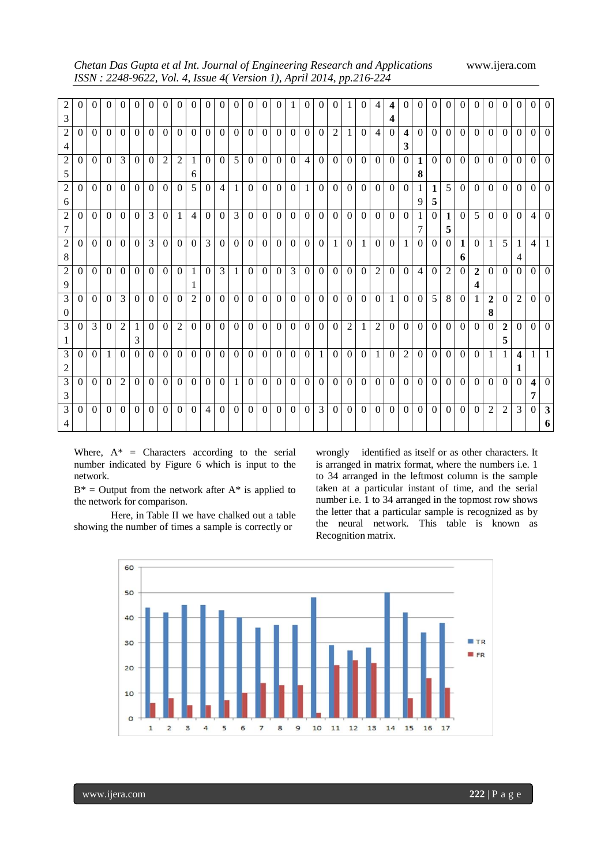| Chetan Das Gupta et al Int. Journal of Engineering Research and Applications |  |
|------------------------------------------------------------------------------|--|
| ISSN : 2248-9622, Vol. 4, Issue 4(Version 1), April 2014, pp.216-224         |  |

*Chetan Das Gupta et al Int. Journal of Engineering Research and Applications* www.ijera.com

| $\overline{c}$ | $\Omega$ | $\theta$      | $\theta$ | $\Omega$       | $\Omega$       | $\Omega$       | $\theta$         | $\vert$ 0      | $\theta$       | $\Omega$       | $\Omega$       | $\Omega$       | $\Omega$       | $\overline{0}$ | $\theta$         | 1                | $\theta$       | $\Omega$       | $\theta$       | $\mathbf{1}$   | $\overline{0}$ | $\overline{4}$   | $\overline{\mathbf{4}}$ | $\Omega$                | $\Omega$       | $\Omega$     | $\Omega$       | $\Omega$       | $\theta$         | $\overline{0}$ | $\mathbf{0}$   | $\Omega$       | $\Omega$         | $\Omega$       |
|----------------|----------|---------------|----------|----------------|----------------|----------------|------------------|----------------|----------------|----------------|----------------|----------------|----------------|----------------|------------------|------------------|----------------|----------------|----------------|----------------|----------------|------------------|-------------------------|-------------------------|----------------|--------------|----------------|----------------|------------------|----------------|----------------|----------------|------------------|----------------|
| 3              |          |               |          |                |                |                |                  |                |                |                |                |                |                |                |                  |                  |                |                |                |                |                |                  | 4                       |                         |                |              |                |                |                  |                |                |                |                  |                |
| 2              | $\Omega$ | $\Omega$      | $\Omega$ | $\Omega$       | $\Omega$       | $\Omega$       | $\Omega$         | $\theta$       | $\Omega$       | $\Omega$       | $\Omega$       | $\Omega$       | $\theta$       | $\theta$       | $\theta$         | $\Omega$         | $\Omega$       | $\theta$       | $\overline{2}$ | $\mathbf{1}$   | $\Omega$       | $\overline{4}$   | $\theta$                | $\overline{\mathbf{4}}$ | $\Omega$       | $\theta$     | $\Omega$       | $\Omega$       | $\theta$         | $\theta$       | $\Omega$       | $\Omega$       | $\Omega$         | $\theta$       |
| 4              |          |               |          |                |                |                |                  |                |                |                |                |                |                |                |                  |                  |                |                |                |                |                |                  |                         | 3                       |                |              |                |                |                  |                |                |                |                  |                |
| $\overline{c}$ | $\Omega$ | $\Omega$      | $\Omega$ | 3              | $\overline{0}$ | $\overline{0}$ | $\overline{2}$   | $\overline{2}$ | -1             | $\Omega$       | $\theta$       | 5 <sup>1</sup> | $\theta$       | $\overline{0}$ | $\overline{0}$   | $\mathbf{0}$     | $\overline{4}$ | $\overline{0}$ | $\theta$       | $\Omega$       | $\overline{0}$ | $\overline{0}$   | $\overline{0}$          | $\theta$                | $\mathbf{1}$   | $\Omega$     | $\Omega$       | $\Omega$       | $\theta$         | $\theta$       | $\Omega$       | $\theta$       | $\overline{0}$   | $\Omega$       |
| 5              |          |               |          |                |                |                |                  |                | 6              |                |                |                |                |                |                  |                  |                |                |                |                |                |                  |                         |                         | 8              |              |                |                |                  |                |                |                |                  |                |
| $\overline{c}$ | $\Omega$ | $\Omega$      | $\Omega$ | $\Omega$       | $\Omega$       | $\overline{0}$ | $\Omega$         | $\Omega$       | 5              | $\Omega$       | $\overline{4}$ | $\mathbf{1}$   | $\theta$       | $\theta$       | $\theta$         | $\Omega$         | $\mathbf{1}$   | $\theta$       | $\theta$       | $\Omega$       | $\overline{0}$ | $\overline{0}$   | $\boldsymbol{0}$        | $\theta$                | $\mathbf{1}$   | $\mathbf{1}$ | $\mathfrak{H}$ | $\Omega$       | $\Omega$         | $\theta$       | $\Omega$       | $\Omega$       | $\Omega$         | $\theta$       |
| 6              |          |               |          |                |                |                |                  |                |                |                |                |                |                |                |                  |                  |                |                |                |                |                |                  |                         |                         | 9              | 5            |                |                |                  |                |                |                |                  |                |
| $\overline{2}$ | $\Omega$ | $\Omega$      | $\Omega$ | $\Omega$       | $\overline{0}$ | 3              | $\overline{0}$   | 1              | $\overline{4}$ | $\Omega$       | $\theta$       | 3 <sup>1</sup> | $\theta$       | $\overline{0}$ | $\theta$         | $\boldsymbol{0}$ | $\overline{0}$ | $\overline{0}$ | $\Omega$       | $\Omega$       | $\overline{0}$ | $\boldsymbol{0}$ | $\theta$                | $\theta$                | $\mathbf{1}$   | $\theta$     | $\mathbf{1}$   | $\Omega$       | $5\overline{)}$  | $\theta$       | $\Omega$       | $\Omega$       | $\overline{4}$   | $\theta$       |
| 7              |          |               |          |                |                |                |                  |                |                |                |                |                |                |                |                  |                  |                |                |                |                |                |                  |                         |                         | 7              |              | 5              |                |                  |                |                |                |                  |                |
| $\overline{c}$ | $\Omega$ | $\Omega$      | $\Omega$ | $\Omega$       | $\Omega$       | 3              | $\Omega$         | $\Omega$       | $\overline{0}$ | 3              | $\Omega$       | $\Omega$       | $\theta$       | $\theta$       | $\mathbf{0}$     | $\mathbf{0}$     | $\overline{0}$ | $\theta$       | $\mathbf{1}$   | $\Omega$       | $\mathbf{1}$   | $\boldsymbol{0}$ | $\mathbf{0}$            | 1                       | $\Omega$       | $\Omega$     | $\Omega$       | $\mathbf{1}$   | $\Omega$         | 1              | 5              | 1              | 4                |                |
| 8              |          |               |          |                |                |                |                  |                |                |                |                |                |                |                |                  |                  |                |                |                |                |                |                  |                         |                         |                |              |                | 6              |                  |                |                | 4              |                  |                |
| $\overline{c}$ | $\theta$ | $\Omega$      | $\Omega$ | $\Omega$       | $\Omega$       | $\Omega$       | $\Omega$         | $\overline{0}$ | $\overline{1}$ | $\theta$       | 3              | 1 <sup>1</sup> | $\theta$       | $\theta$       | $\mathbf{0}$     | 3                | $\overline{0}$ | $\Omega$       | $\theta$       | $\Omega$       | $\theta$       | $\overline{2}$   | $\theta$                | $\overline{0}$          | $\overline{4}$ | $\Omega$     | 2              | $\Omega$       | $\overline{2}$   | $\theta$       | $\Omega$       | $\Omega$       | $\Omega$         | $\theta$       |
| 9              |          |               |          |                |                |                |                  |                | 1              |                |                |                |                |                |                  |                  |                |                |                |                |                |                  |                         |                         |                |              |                |                | 4                |                |                |                |                  |                |
| 3              | $\Omega$ | $\Omega$      | $\Omega$ | 3              | $\overline{0}$ | $\overline{0}$ | $\boldsymbol{0}$ | $\Omega$       | $\overline{2}$ | $\overline{0}$ | $\Omega$       | $\overline{0}$ | $\overline{0}$ | $\overline{0}$ | $\boldsymbol{0}$ | $\mathbf{0}$     | $\overline{0}$ | $\overline{0}$ | $\theta$       | $\overline{0}$ | $\overline{0}$ | $\mathbf{0}$     | $\mathbf{1}$            | $\overline{0}$          | $\overline{0}$ | 5            | 8              | $\overline{0}$ | $\mathbf{1}$     | $\overline{2}$ | $\Omega$       | $\overline{2}$ | $\overline{0}$   | $\overline{0}$ |
| $\mathbf{0}$   |          |               |          |                |                |                |                  |                |                |                |                |                |                |                |                  |                  |                |                |                |                |                |                  |                         |                         |                |              |                |                |                  | 8              |                |                |                  |                |
| 3              | $\Omega$ | $\mathcal{E}$ | $\Omega$ | $\overline{2}$ | 1              | $\overline{0}$ | $\overline{0}$   | $\overline{2}$ | $\theta$       | $\Omega$       | $\theta$       | $\Omega$       | $\overline{0}$ | $\overline{0}$ | $\boldsymbol{0}$ | $\boldsymbol{0}$ | $\theta$       | $\overline{0}$ | $\theta$       | $\overline{2}$ | $\mathbf{1}$   | $\overline{2}$   | $\Omega$                | $\theta$                | $\Omega$       | $\theta$     | $\theta$       | $\Omega$       | $\boldsymbol{0}$ | $\overline{0}$ | $\overline{2}$ | $\Omega$       | $\Omega$         | $\Omega$       |
| 1              |          |               |          |                | 3              |                |                  |                |                |                |                |                |                |                |                  |                  |                |                |                |                |                |                  |                         |                         |                |              |                |                |                  |                | 5              |                |                  |                |
| 3              | $\Omega$ | $\Omega$      | 1        | $\Omega$       | $\Omega$       | $\overline{0}$ | $\overline{0}$   | $\theta$       | $\theta$       | $\theta$       | $\theta$       | $\Omega$       | $\Omega$       | $\overline{0}$ | $\theta$         | $\theta$         | $\theta$       | $\mathbf{1}$   | $\overline{0}$ | $\Omega$       | $\overline{0}$ | $\mathbf{1}$     | $\overline{0}$          | $\overline{2}$          | $\Omega$       | $\theta$     | $\Omega$       | $\Omega$       | $\Omega$         | 1              | 1              | 4              | $\mathbf{1}$     | $\mathbf{1}$   |
| 2              |          |               |          |                |                |                |                  |                |                |                |                |                |                |                |                  |                  |                |                |                |                |                |                  |                         |                         |                |              |                |                |                  |                |                | 1              |                  |                |
| 3              | $\Omega$ | $\Omega$      | $\Omega$ | 2              | $\Omega$       | $\overline{0}$ | $\theta$         | $\Omega$       | $\theta$       | $\Omega$       | $\Omega$       | $\mathbf{1}$   | $\theta$       | $\overline{0}$ | $\theta$         | $\theta$         | $\overline{0}$ | $\overline{0}$ | $\theta$       | $\Omega$       | $\overline{0}$ | $\overline{0}$   | $\Omega$                | $\theta$                | $\theta$       | $\Omega$     | $\Omega$       | $\Omega$       | $\Omega$         | $\Omega$       | $\Omega$       | $\Omega$       | $\boldsymbol{4}$ | $\Omega$       |
| 3              |          |               |          |                |                |                |                  |                |                |                |                |                |                |                |                  |                  |                |                |                |                |                |                  |                         |                         |                |              |                |                |                  |                |                |                | 7                |                |
| 3              | $\Omega$ | $\Omega$      | $\Omega$ | $\Omega$       | $\Omega$       | $\Omega$       | $\Omega$         | $\Omega$       | $\Omega$       | $\overline{4}$ | $\Omega$       | $\Omega$       | $\Omega$       | $\Omega$       | $\theta$         | $\Omega$         | $\Omega$       | 3              | $\theta$       | $\Omega$       | $\Omega$       | $\Omega$         | $\Omega$                | $\Omega$                | $\Omega$       | $\Omega$     | $\Omega$       | $\Omega$       | $\Omega$         | 2              | $\overline{2}$ | 3              | $\Omega$         | $\mathbf{3}$   |
|                |          |               |          |                |                |                |                  |                |                |                |                |                |                |                |                  |                  |                |                |                |                |                |                  |                         |                         |                |              |                |                |                  |                |                |                |                  | 6              |

Where,  $A^*$  = Characters according to the serial number indicated by Figure 6 which is input to the network.

 $B^*$  = Output from the network after  $A^*$  is applied to the network for comparison.

Here, in Table II we have chalked out a table showing the number of times a sample is correctly or

wrongly identified as itself or as other characters. It is arranged in matrix format, where the numbers i.e. 1 to 34 arranged in the leftmost column is the sample taken at a particular instant of time, and the serial number i.e. 1 to 34 arranged in the topmost row shows the letter that a particular sample is recognized as by the neural network. This table is known as Recognition matrix.

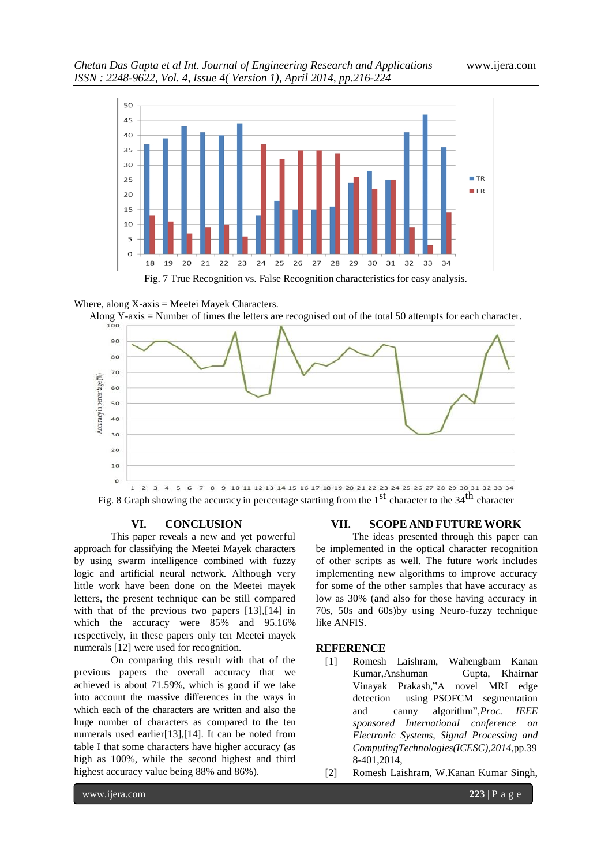

Fig. 7 True Recognition vs. False Recognition characteristics for easy analysis.

#### Where, along  $X$ -axis = Meetei Mayek Characters.





Fig. 8 Graph showing the accuracy in percentage startimg from the  $1<sup>st</sup>$  character to the 34<sup>th</sup> character

#### **VI. CONCLUSION**

This paper reveals a new and yet powerful approach for classifying the Meetei Mayek characters by using swarm intelligence combined with fuzzy logic and artificial neural network. Although very little work have been done on the Meetei mayek letters, the present technique can be still compared with that of the previous two papers [13],[14] in which the accuracy were 85% and 95.16% respectively, in these papers only ten Meetei mayek numerals [12] were used for recognition.

On comparing this result with that of the previous papers the overall accuracy that we achieved is about 71.59%, which is good if we take into account the massive differences in the ways in which each of the characters are written and also the huge number of characters as compared to the ten numerals used earlier[13],[14]. It can be noted from table I that some characters have higher accuracy (as high as 100%, while the second highest and third highest accuracy value being 88% and 86%).

#### **VII. SCOPE AND FUTURE WORK**

The ideas presented through this paper can be implemented in the optical character recognition of other scripts as well. The future work includes implementing new algorithms to improve accuracy for some of the other samples that have accuracy as low as 30% (and also for those having accuracy in 70s, 50s and 60s)by using Neuro-fuzzy technique like ANFIS.

#### **REFERENCE**

- [1] Romesh Laishram, Wahengbam Kanan Kumar,Anshuman Gupta, Khairnar Vinayak Prakash,"A novel MRI edge detection using PSOFCM segmentation and canny algorithm",*Proc. IEEE sponsored International conference on Electronic Systems, Signal Processing and ComputingTechnologies(ICESC),2014,*pp.39 8-401,2014,
- [2] Romesh Laishram, W.Kanan Kumar Singh,